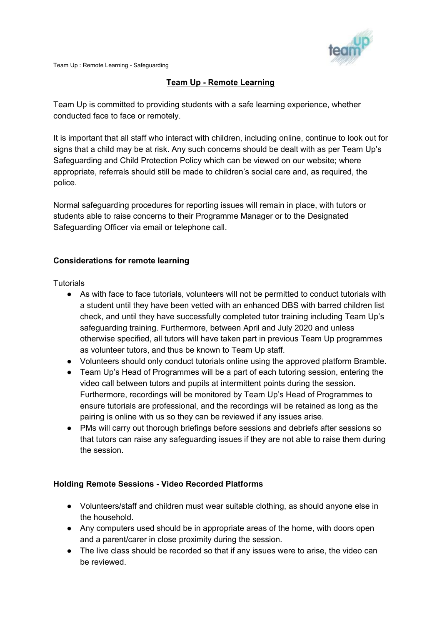

Team Up : Remote Learning - Safeguarding

# **Team Up - Remote Learning**

Team Up is committed to providing students with a safe learning experience, whether conducted face to face or remotely.

It is important that all staff who interact with children, including online, continue to look out for signs that a child may be at risk. Any such concerns should be dealt with as per Team Up's Safeguarding and Child Protection Policy which can be viewed on our website; where appropriate, referrals should still be made to children's social care and, as required, the police.

Normal safeguarding procedures for reporting issues will remain in place, with tutors or students able to raise concerns to their Programme Manager or to the Designated Safeguarding Officer via email or telephone call.

## **Considerations for remote learning**

### **Tutorials**

- As with face to face tutorials, volunteers will not be permitted to conduct tutorials with a student until they have been vetted with an enhanced DBS with barred children list check, and until they have successfully completed tutor training including Team Up's safeguarding training. Furthermore, between April and July 2020 and unless otherwise specified, all tutors will have taken part in previous Team Up programmes as volunteer tutors, and thus be known to Team Up staff.
- Volunteers should only conduct tutorials online using the approved platform Bramble.
- Team Up's Head of Programmes will be a part of each tutoring session, entering the video call between tutors and pupils at intermittent points during the session. Furthermore, recordings will be monitored by Team Up's Head of Programmes to ensure tutorials are professional, and the recordings will be retained as long as the pairing is online with us so they can be reviewed if any issues arise.
- PMs will carry out thorough briefings before sessions and debriefs after sessions so that tutors can raise any safeguarding issues if they are not able to raise them during the session.

### **Holding Remote Sessions - Video Recorded Platforms**

- Volunteers/staff and children must wear suitable clothing, as should anyone else in the household.
- Any computers used should be in appropriate areas of the home, with doors open and a parent/carer in close proximity during the session.
- The live class should be recorded so that if any issues were to arise, the video can be reviewed.